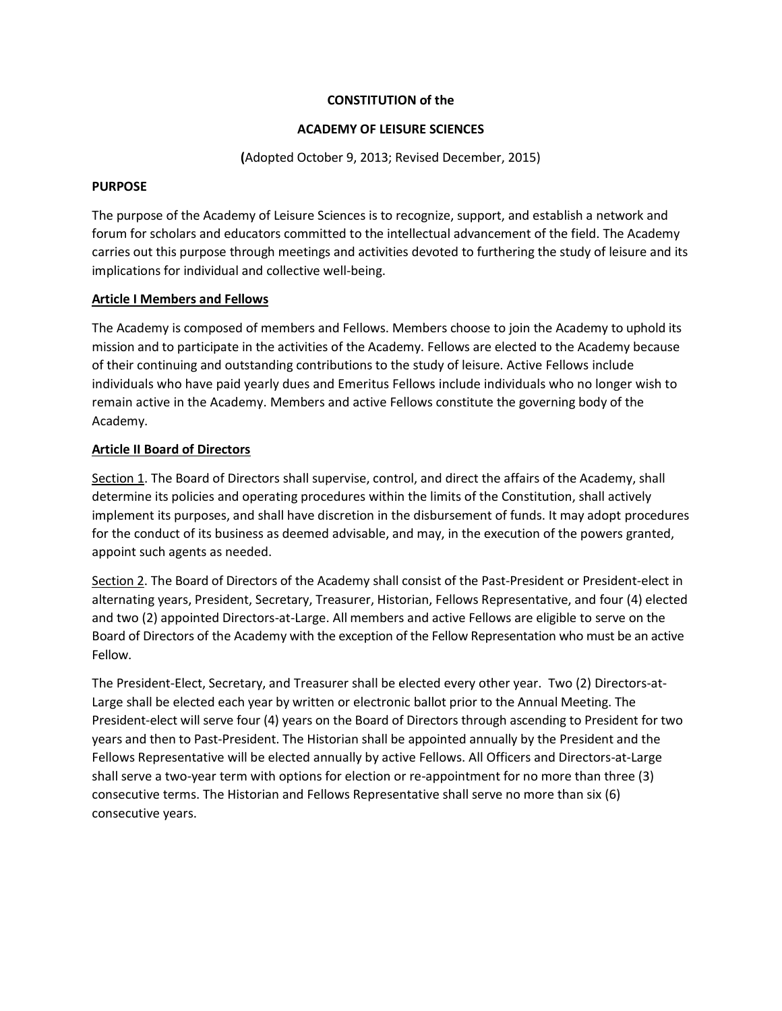### **CONSTITUTION of the**

### **ACADEMY OF LEISURE SCIENCES**

**(**Adopted October 9, 2013; Revised December, 2015)

### **PURPOSE**

The purpose of the Academy of Leisure Sciences is to recognize, support, and establish a network and forum for scholars and educators committed to the intellectual advancement of the field. The Academy carries out this purpose through meetings and activities devoted to furthering the study of leisure and its implications for individual and collective well-being.

# **Article I Members and Fellows**

The Academy is composed of members and Fellows. Members choose to join the Academy to uphold its mission and to participate in the activities of the Academy. Fellows are elected to the Academy because of their continuing and outstanding contributions to the study of leisure. Active Fellows include individuals who have paid yearly dues and Emeritus Fellows include individuals who no longer wish to remain active in the Academy. Members and active Fellows constitute the governing body of the Academy.

# **Article II Board of Directors**

Section 1. The Board of Directors shall supervise, control, and direct the affairs of the Academy, shall determine its policies and operating procedures within the limits of the Constitution, shall actively implement its purposes, and shall have discretion in the disbursement of funds. It may adopt procedures for the conduct of its business as deemed advisable, and may, in the execution of the powers granted, appoint such agents as needed.

Section 2. The Board of Directors of the Academy shall consist of the Past-President or President-elect in alternating years, President, Secretary, Treasurer, Historian, Fellows Representative, and four (4) elected and two (2) appointed Directors-at-Large. All members and active Fellows are eligible to serve on the Board of Directors of the Academy with the exception of the Fellow Representation who must be an active Fellow.

The President-Elect, Secretary, and Treasurer shall be elected every other year. Two (2) Directors-at-Large shall be elected each year by written or electronic ballot prior to the Annual Meeting. The President-elect will serve four (4) years on the Board of Directors through ascending to President for two years and then to Past-President. The Historian shall be appointed annually by the President and the Fellows Representative will be elected annually by active Fellows. All Officers and Directors-at-Large shall serve a two-year term with options for election or re-appointment for no more than three (3) consecutive terms. The Historian and Fellows Representative shall serve no more than six (6) consecutive years.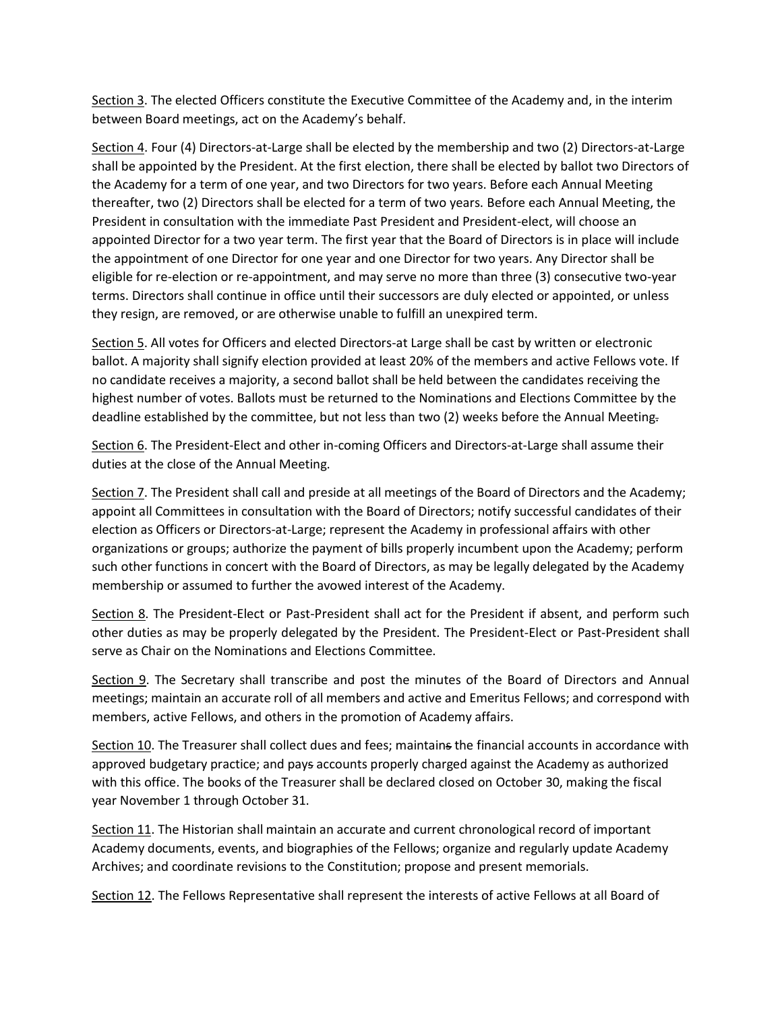Section 3. The elected Officers constitute the Executive Committee of the Academy and, in the interim between Board meetings, act on the Academy's behalf.

Section 4. Four (4) Directors-at-Large shall be elected by the membership and two (2) Directors-at-Large shall be appointed by the President. At the first election, there shall be elected by ballot two Directors of the Academy for a term of one year, and two Directors for two years. Before each Annual Meeting thereafter, two (2) Directors shall be elected for a term of two years. Before each Annual Meeting, the President in consultation with the immediate Past President and President-elect, will choose an appointed Director for a two year term. The first year that the Board of Directors is in place will include the appointment of one Director for one year and one Director for two years. Any Director shall be eligible for re-election or re-appointment, and may serve no more than three (3) consecutive two-year terms. Directors shall continue in office until their successors are duly elected or appointed, or unless they resign, are removed, or are otherwise unable to fulfill an unexpired term.

Section 5. All votes for Officers and elected Directors-at Large shall be cast by written or electronic ballot. A majority shall signify election provided at least 20% of the members and active Fellows vote. If no candidate receives a majority, a second ballot shall be held between the candidates receiving the highest number of votes. Ballots must be returned to the Nominations and Elections Committee by the deadline established by the committee, but not less than two (2) weeks before the Annual Meeting.

Section 6. The President-Elect and other in-coming Officers and Directors-at-Large shall assume their duties at the close of the Annual Meeting.

Section 7. The President shall call and preside at all meetings of the Board of Directors and the Academy; appoint all Committees in consultation with the Board of Directors; notify successful candidates of their election as Officers or Directors-at-Large; represent the Academy in professional affairs with other organizations or groups; authorize the payment of bills properly incumbent upon the Academy; perform such other functions in concert with the Board of Directors, as may be legally delegated by the Academy membership or assumed to further the avowed interest of the Academy.

Section 8. The President-Elect or Past-President shall act for the President if absent, and perform such other duties as may be properly delegated by the President. The President-Elect or Past-President shall serve as Chair on the Nominations and Elections Committee.

Section 9. The Secretary shall transcribe and post the minutes of the Board of Directors and Annual meetings; maintain an accurate roll of all members and active and Emeritus Fellows; and correspond with members, active Fellows, and others in the promotion of Academy affairs.

Section 10. The Treasurer shall collect dues and fees; maintains the financial accounts in accordance with approved budgetary practice; and pays accounts properly charged against the Academy as authorized with this office. The books of the Treasurer shall be declared closed on October 30, making the fiscal year November 1 through October 31.

Section 11. The Historian shall maintain an accurate and current chronological record of important Academy documents, events, and biographies of the Fellows; organize and regularly update Academy Archives; and coordinate revisions to the Constitution; propose and present memorials.

Section 12. The Fellows Representative shall represent the interests of active Fellows at all Board of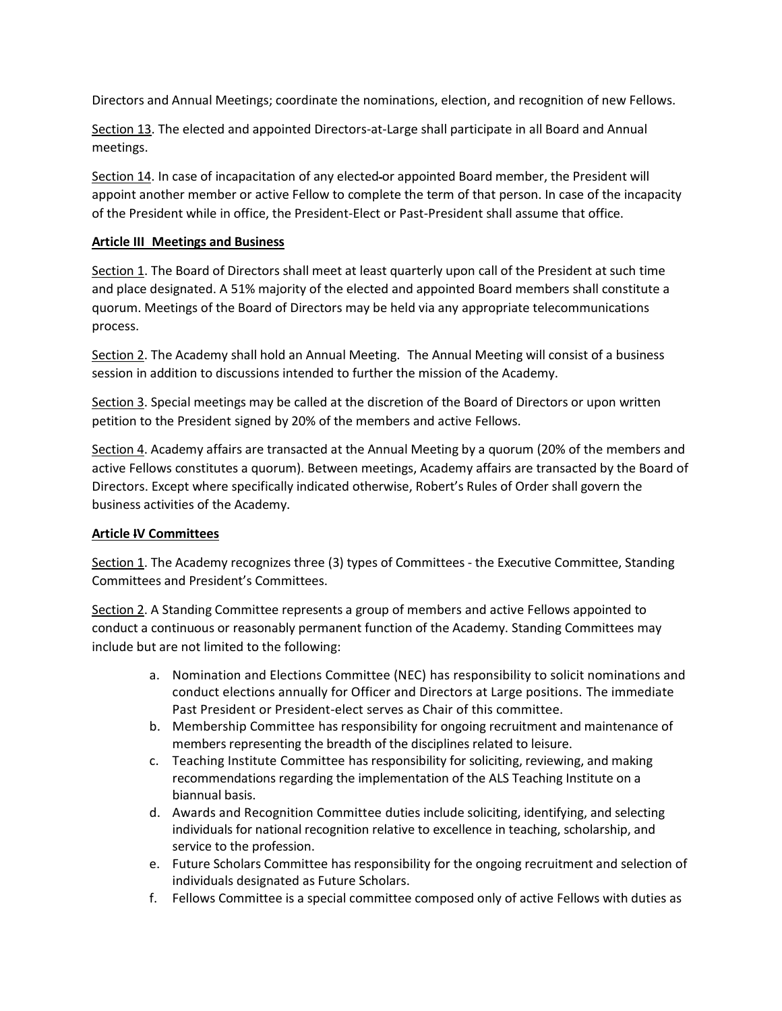Directors and Annual Meetings; coordinate the nominations, election, and recognition of new Fellows.

Section 13. The elected and appointed Directors-at-Large shall participate in all Board and Annual meetings.

Section 14. In case of incapacitation of any elected or appointed Board member, the President will appoint another member or active Fellow to complete the term of that person. In case of the incapacity of the President while in office, the President-Elect or Past-President shall assume that office.

### **Article III Meetings and Business**

Section 1. The Board of Directors shall meet at least quarterly upon call of the President at such time and place designated. A 51% majority of the elected and appointed Board members shall constitute a quorum. Meetings of the Board of Directors may be held via any appropriate telecommunications process.

Section 2. The Academy shall hold an Annual Meeting. The Annual Meeting will consist of a business session in addition to discussions intended to further the mission of the Academy.

Section 3. Special meetings may be called at the discretion of the Board of Directors or upon written petition to the President signed by 20% of the members and active Fellows.

Section 4. Academy affairs are transacted at the Annual Meeting by a quorum (20% of the members and active Fellows constitutes a quorum). Between meetings, Academy affairs are transacted by the Board of Directors. Except where specifically indicated otherwise, Robert's Rules of Order shall govern the business activities of the Academy.

# **Article IV Committees**

Section 1. The Academy recognizes three (3) types of Committees - the Executive Committee, Standing Committees and President's Committees.

Section 2. A Standing Committee represents a group of members and active Fellows appointed to conduct a continuous or reasonably permanent function of the Academy. Standing Committees may include but are not limited to the following:

- a. Nomination and Elections Committee (NEC) has responsibility to solicit nominations and conduct elections annually for Officer and Directors at Large positions. The immediate Past President or President-elect serves as Chair of this committee.
- b. Membership Committee has responsibility for ongoing recruitment and maintenance of members representing the breadth of the disciplines related to leisure.
- c. Teaching Institute Committee has responsibility for soliciting, reviewing, and making recommendations regarding the implementation of the ALS Teaching Institute on a biannual basis.
- d. Awards and Recognition Committee duties include soliciting, identifying, and selecting individuals for national recognition relative to excellence in teaching, scholarship, and service to the profession.
- e. Future Scholars Committee has responsibility for the ongoing recruitment and selection of individuals designated as Future Scholars.
- f. Fellows Committee is a special committee composed only of active Fellows with duties as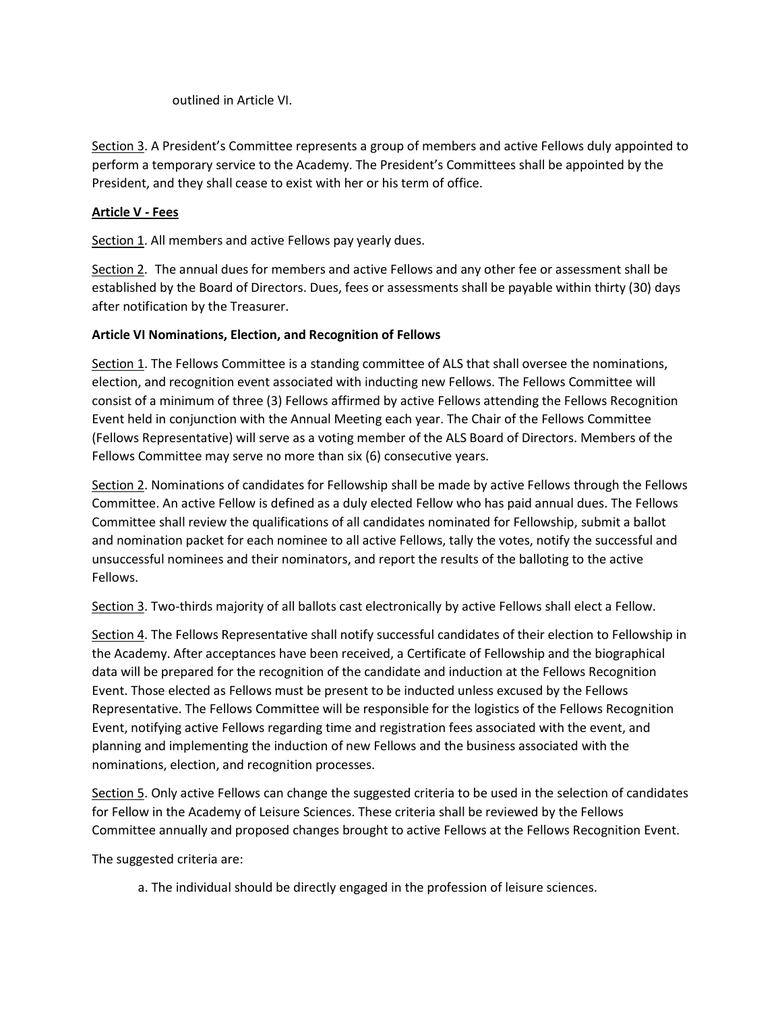outlined in Article VI.

Section 3. A President's Committee represents a group of members and active Fellows duly appointed to perform a temporary service to the Academy. The President's Committees shall be appointed by the President, and they shall cease to exist with her or his term of office.

# **Article V - Fees**

Section 1. All members and active Fellows pay yearly dues.

Section 2. The annual dues for members and active Fellows and any other fee or assessment shall be established by the Board of Directors. Dues, fees or assessments shall be payable within thirty (30) days after notification by the Treasurer.

### **Article VI Nominations, Election, and Recognition of Fellows**

Section 1. The Fellows Committee is a standing committee of ALS that shall oversee the nominations, election, and recognition event associated with inducting new Fellows. The Fellows Committee will consist of a minimum of three (3) Fellows affirmed by active Fellows attending the Fellows Recognition Event held in conjunction with the Annual Meeting each year. The Chair of the Fellows Committee (Fellows Representative) will serve as a voting member of the ALS Board of Directors. Members of the Fellows Committee may serve no more than six (6) consecutive years.

Section 2. Nominations of candidates for Fellowship shall be made by active Fellows through the Fellows Committee. An active Fellow is defined as a duly elected Fellow who has paid annual dues. The Fellows Committee shall review the qualifications of all candidates nominated for Fellowship, submit a ballot and nomination packet for each nominee to all active Fellows, tally the votes, notify the successful and unsuccessful nominees and their nominators, and report the results of the balloting to the active Fellows.

Section 3. Two-thirds majority of all ballots cast electronically by active Fellows shall elect a Fellow.

Section 4. The Fellows Representative shall notify successful candidates of their election to Fellowship in the Academy. After acceptances have been received, a Certificate of Fellowship and the biographical data will be prepared for the recognition of the candidate and induction at the Fellows Recognition Event. Those elected as Fellows must be present to be inducted unless excused by the Fellows Representative. The Fellows Committee will be responsible for the logistics of the Fellows Recognition Event, notifying active Fellows regarding time and registration fees associated with the event, and planning and implementing the induction of new Fellows and the business associated with the nominations, election, and recognition processes.

Section 5. Only active Fellows can change the suggested criteria to be used in the selection of candidates for Fellow in the Academy of Leisure Sciences. These criteria shall be reviewed by the Fellows Committee annually and proposed changes brought to active Fellows at the Fellows Recognition Event.

The suggested criteria are:

a. The individual should be directly engaged in the profession of leisure sciences.